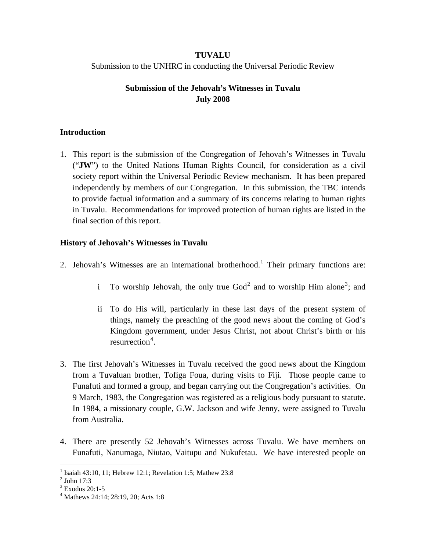## **TUVALU**  Submission to the UNHRC in conducting the Universal Periodic Review

# **Submission of the Jehovah's Witnesses in Tuvalu July 2008**

### **Introduction**

1. This report is the submission of the Congregation of Jehovah's Witnesses in Tuvalu ("**JW**") to the United Nations Human Rights Council, for consideration as a civil society report within the Universal Periodic Review mechanism. It has been prepared independently by members of our Congregation. In this submission, the TBC intends to provide factual information and a summary of its concerns relating to human rights in Tuvalu. Recommendations for improved protection of human rights are listed in the final section of this report.

### **History of Jehovah's Witnesses in Tuvalu**

- 2. Jehovah's Witnesses are an international brotherhood.<sup>[1](#page-0-0)</sup> Their primary functions are:
	- i To worship Jehovah, the only true  $God<sup>2</sup>$  $God<sup>2</sup>$  $God<sup>2</sup>$  and to worship Him alone<sup>[3](#page-0-2)</sup>; and
	- ii To do His will, particularly in these last days of the present system of things, namely the preaching of the good news about the coming of God's Kingdom government, under Jesus Christ, not about Christ's birth or his resurrection<sup>[4](#page-0-3)</sup>.
- 3. The first Jehovah's Witnesses in Tuvalu received the good news about the Kingdom from a Tuvaluan brother, Tofiga Foua, during visits to Fiji. Those people came to Funafuti and formed a group, and began carrying out the Congregation's activities. On 9 March, 1983, the Congregation was registered as a religious body pursuant to statute. In 1984, a missionary couple, G.W. Jackson and wife Jenny, were assigned to Tuvalu from Australia.
- 4. There are presently 52 Jehovah's Witnesses across Tuvalu. We have members on Funafuti, Nanumaga, Niutao, Vaitupu and Nukufetau. We have interested people on

<span id="page-0-0"></span><sup>1</sup> Isaiah 43:10, 11; Hebrew 12:1; Revelation 1:5; Mathew 23:8

<span id="page-0-1"></span> $<sup>2</sup>$  John 17:3</sup>

<span id="page-0-2"></span><sup>3</sup> Exodus 20:1-5

<span id="page-0-3"></span><sup>4</sup> Mathews 24:14; 28:19, 20; Acts 1:8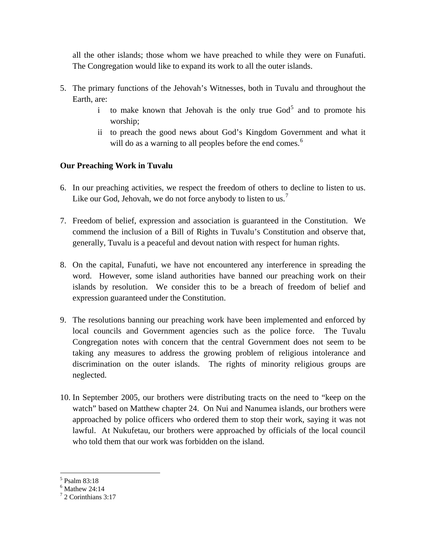all the other islands; those whom we have preached to while they were on Funafuti. The Congregation would like to expand its work to all the outer islands.

- 5. The primary functions of the Jehovah's Witnesses, both in Tuvalu and throughout the Earth, are:
	- i to make known that Jehovah is the only true  $God<sup>5</sup>$  $God<sup>5</sup>$  $God<sup>5</sup>$  and to promote his worship;
	- ii to preach the good news about God's Kingdom Government and what it will do as a warning to all peoples before the end comes.<sup>[6](#page-1-1)</sup>

## **Our Preaching Work in Tuvalu**

- 6. In our preaching activities, we respect the freedom of others to decline to listen to us. Like our God, Jehovah, we do not force anybody to listen to us.<sup>[7](#page-1-2)</sup>
- 7. Freedom of belief, expression and association is guaranteed in the Constitution. We commend the inclusion of a Bill of Rights in Tuvalu's Constitution and observe that, generally, Tuvalu is a peaceful and devout nation with respect for human rights.
- 8. On the capital, Funafuti, we have not encountered any interference in spreading the word. However, some island authorities have banned our preaching work on their islands by resolution. We consider this to be a breach of freedom of belief and expression guaranteed under the Constitution.
- 9. The resolutions banning our preaching work have been implemented and enforced by local councils and Government agencies such as the police force. The Tuvalu Congregation notes with concern that the central Government does not seem to be taking any measures to address the growing problem of religious intolerance and discrimination on the outer islands. The rights of minority religious groups are neglected.
- 10. In September 2005, our brothers were distributing tracts on the need to "keep on the watch" based on Matthew chapter 24. On Nui and Nanumea islands, our brothers were approached by police officers who ordered them to stop their work, saying it was not lawful. At Nukufetau, our brothers were approached by officials of the local council who told them that our work was forbidden on the island.

<span id="page-1-0"></span><sup>5</sup> Psalm 83:18

<span id="page-1-1"></span> $<sup>6</sup>$  Mathew 24:14</sup>

<span id="page-1-2"></span><sup>7</sup> 2 Corinthians 3:17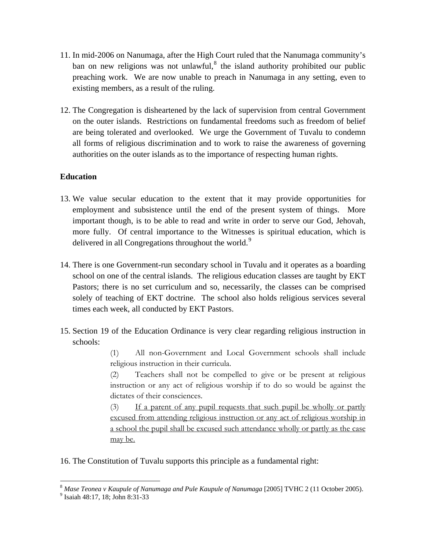- 11. In mid-2006 on Nanumaga, after the High Court ruled that the Nanumaga community's ban on new religions was not unlawful, $<sup>8</sup>$  $<sup>8</sup>$  $<sup>8</sup>$  the island authority prohibited our public</sup> preaching work. We are now unable to preach in Nanumaga in any setting, even to existing members, as a result of the ruling.
- 12. The Congregation is disheartened by the lack of supervision from central Government on the outer islands. Restrictions on fundamental freedoms such as freedom of belief are being tolerated and overlooked. We urge the Government of Tuvalu to condemn all forms of religious discrimination and to work to raise the awareness of governing authorities on the outer islands as to the importance of respecting human rights.

## **Education**

- 13. We value secular education to the extent that it may provide opportunities for employment and subsistence until the end of the present system of things. More important though, is to be able to read and write in order to serve our God, Jehovah, more fully. Of central importance to the Witnesses is spiritual education, which is delivered in all Congregations throughout the world. $9$
- 14. There is one Government-run secondary school in Tuvalu and it operates as a boarding school on one of the central islands. The religious education classes are taught by EKT Pastors; there is no set curriculum and so, necessarily, the classes can be comprised solely of teaching of EKT doctrine. The school also holds religious services several times each week, all conducted by EKT Pastors.
- 15. Section 19 of the Education Ordinance is very clear regarding religious instruction in schools:

(1) All non-Government and Local Government schools shall include religious instruction in their curricula.

(2) Teachers shall not be compelled to give or be present at religious instruction or any act of religious worship if to do so would be against the dictates of their consciences.

(3) If a parent of any pupil requests that such pupil be wholly or partly excused from attending religious instruction or any act of religious worship in a school the pupil shall be excused such attendance wholly or partly as the case may be.

16. The Constitution of Tuvalu supports this principle as a fundamental right:

<span id="page-2-0"></span><sup>&</sup>lt;sup>8</sup> Mase Teonea v Kaupule of Nanumaga and Pule Kaupule of Nanumaga [2005] TVHC 2 (11 October 2005).

<span id="page-2-1"></span> $<sup>9</sup>$  Isaiah 48:17, 18; John 8:31-33</sup>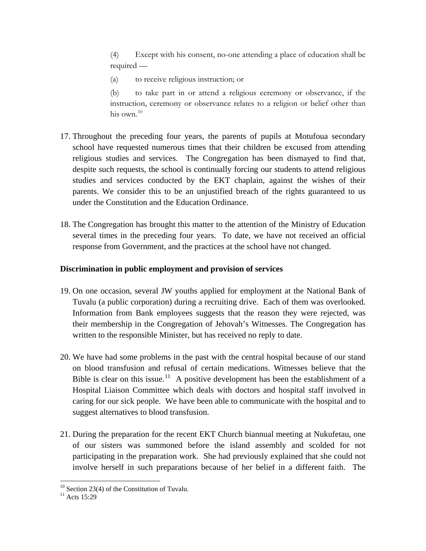(4) Except with his consent, no-one attending a place of education shall be required —

(a) to receive religious instruction; or

(b) to take part in or attend a religious ceremony or observance, if the instruction, ceremony or observance relates to a religion or belief other than his own. $10$ 

- 17. Throughout the preceding four years, the parents of pupils at Motufoua secondary school have requested numerous times that their children be excused from attending religious studies and services. The Congregation has been dismayed to find that, despite such requests, the school is continually forcing our students to attend religious studies and services conducted by the EKT chaplain, against the wishes of their parents. We consider this to be an unjustified breach of the rights guaranteed to us under the Constitution and the Education Ordinance.
- 18. The Congregation has brought this matter to the attention of the Ministry of Education several times in the preceding four years. To date, we have not received an official response from Government, and the practices at the school have not changed.

#### **Discrimination in public employment and provision of services**

- 19. On one occasion, several JW youths applied for employment at the National Bank of Tuvalu (a public corporation) during a recruiting drive. Each of them was overlooked. Information from Bank employees suggests that the reason they were rejected, was their membership in the Congregation of Jehovah's Witnesses. The Congregation has written to the responsible Minister, but has received no reply to date.
- 20. We have had some problems in the past with the central hospital because of our stand on blood transfusion and refusal of certain medications. Witnesses believe that the Bible is clear on this issue.<sup>[11](#page-3-1)</sup> A positive development has been the establishment of a Hospital Liaison Committee which deals with doctors and hospital staff involved in caring for our sick people. We have been able to communicate with the hospital and to suggest alternatives to blood transfusion.
- 21. During the preparation for the recent EKT Church biannual meeting at Nukufetau, one of our sisters was summoned before the island assembly and scolded for not participating in the preparation work. She had previously explained that she could not involve herself in such preparations because of her belief in a different faith. The

<span id="page-3-0"></span> $10$  Section 23(4) of the Constitution of Tuvalu.

<span id="page-3-1"></span> $11$  Acts 15:29